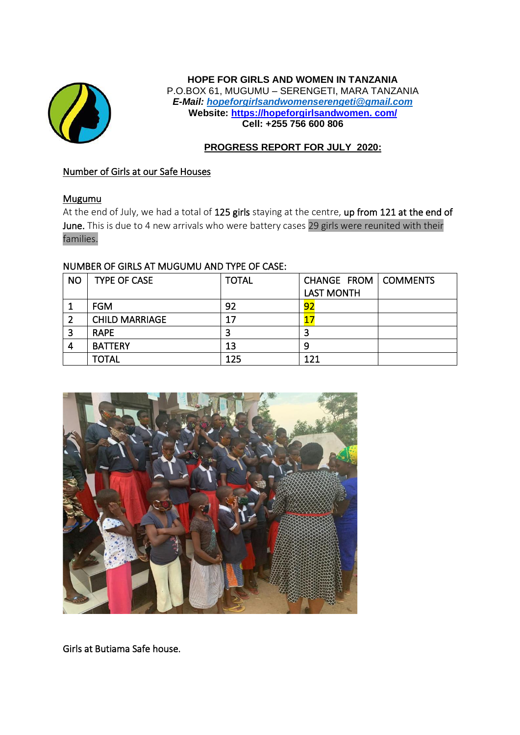

#### **HOPE FOR GIRLS AND WOMEN IN TANZANIA** P.O.BOX 61, MUGUMU – SERENGETI, MARA TANZANIA *E-Mail: [hopeforgirlsandwomenserengeti@gmail.com](mailto:hopeforgirlsandwomenserengeti@gmail.com)* **Website: https://hopeforgirlsandwomen. com/ Cell: +255 756 600 806**

## **PROGRESS REPORT FOR JULY 2020:**

## Number of Girls at our Safe Houses

## Mugumu

At the end of July, we had a total of 125 girls staying at the centre, up from 121 at the end of June. This is due to 4 new arrivals who were battery cases 29 girls were reunited with their families.

## NUMBER OF GIRLS AT MUGUMU AND TYPE OF CASE:

| <b>NO</b> | <b>TYPE OF CASE</b>   | <b>TOTAL</b> | CHANGE FROM   COMMENTS |  |
|-----------|-----------------------|--------------|------------------------|--|
|           |                       |              | <b>LAST MONTH</b>      |  |
|           | <b>FGM</b>            | 92           | 92                     |  |
|           | <b>CHILD MARRIAGE</b> | 17           |                        |  |
| 3         | <b>RAPE</b>           | 3            |                        |  |
| 4         | <b>BATTERY</b>        | 13           | 9                      |  |
|           | <b>TOTAL</b>          | 125          | 121                    |  |



Girls at Butiama Safe house.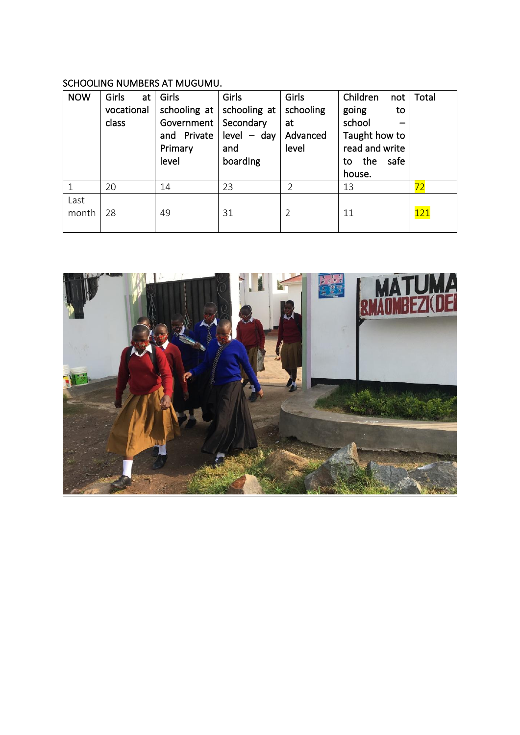# SCHOOLING NUMBERS AT MUGUMU.

| <b>NOW</b> | Girls<br>at<br>vocational<br>class | Girls<br>schooling at<br>Government   Secondary<br>and Private<br>Primary<br>level | Girls<br>schooling at<br>$level - day$<br>and<br>boarding | Girls<br>schooling<br>at<br>Advanced<br>level | Children<br>not<br>going<br>to<br>school<br>Taught how to<br>read and write<br>the<br>safe<br>to<br>house. | Total |
|------------|------------------------------------|------------------------------------------------------------------------------------|-----------------------------------------------------------|-----------------------------------------------|------------------------------------------------------------------------------------------------------------|-------|
|            |                                    |                                                                                    |                                                           |                                               |                                                                                                            |       |
|            | 20                                 | 14                                                                                 | 23                                                        | $\mathfrak{D}$                                | 13                                                                                                         | 72    |

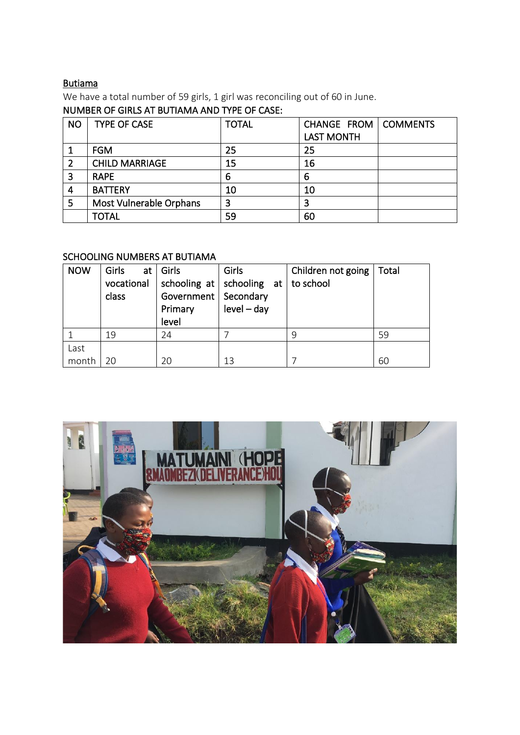# Butiama

We have a total number of 59 girls, 1 girl was reconciling out of 60 in June.

## NUMBER OF GIRLS AT BUTIAMA AND TYPE OF CASE:

| <b>NO</b> | <b>TYPE OF CASE</b>     | <b>TOTAL</b> | CHANGE FROM       | COMMENTS |
|-----------|-------------------------|--------------|-------------------|----------|
|           |                         |              | <b>LAST MONTH</b> |          |
|           | <b>FGM</b>              | 25           | 25                |          |
|           | <b>CHILD MARRIAGE</b>   | 15           | 16                |          |
|           | <b>RAPE</b>             | 6            | 6                 |          |
| 4         | <b>BATTERY</b>          | 10           | 10                |          |
| 5         | Most Vulnerable Orphans | 3            | 3                 |          |
|           | <b>TOTAL</b>            | 59           | 60                |          |

## SCHOOLING NUMBERS AT BUTIAMA

| <b>NOW</b>    | Girls<br>vocational<br>class | at $ $ Girls<br>schooling at  <br>Government   Secondary<br>Primary<br>level | Girls<br>schooling at<br>$level - day$ | Children not going<br>to school | Total |
|---------------|------------------------------|------------------------------------------------------------------------------|----------------------------------------|---------------------------------|-------|
|               | 19                           | 24                                                                           |                                        | q                               | 59    |
| Last<br>month | 20                           | 20                                                                           | 13                                     |                                 | 60    |

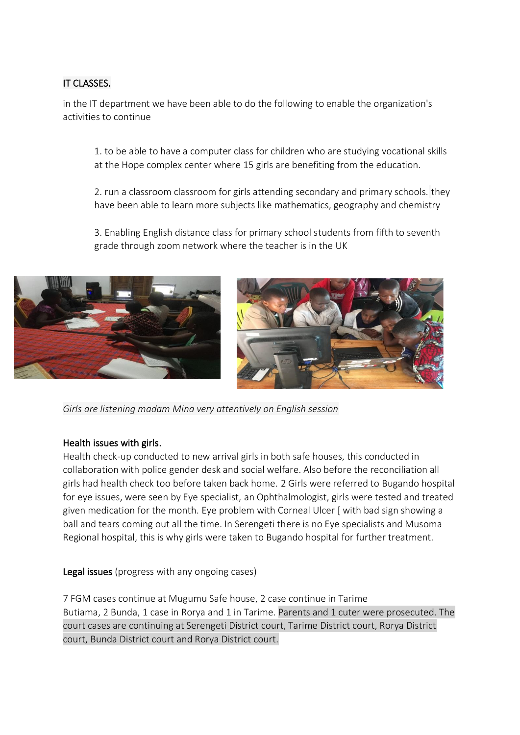## IT CLASSES.

in the IT department we have been able to do the following to enable the organization's activities to continue

1. to be able to have a computer class for children who are studying vocational skills at the Hope complex center where 15 girls are benefiting from the education.

2. run a classroom classroom for girls attending secondary and primary schools. they have been able to learn more subjects like mathematics, geography and chemistry

3. Enabling English distance class for primary school students from fifth to seventh grade through zoom network where the teacher is in the UK





*Girls are listening madam Mina very attentively on English session*

## Health issues with girls.

Health check-up conducted to new arrival girls in both safe houses, this conducted in collaboration with police gender desk and social welfare. Also before the reconciliation all girls had health check too before taken back home. 2 Girls were referred to Bugando hospital for eye issues, were seen by Eye specialist, an Ophthalmologist, girls were tested and treated given medication for the month. Eye problem with Corneal Ulcer [ with bad sign showing a ball and tears coming out all the time. In Serengeti there is no Eye specialists and Musoma Regional hospital, this is why girls were taken to Bugando hospital for further treatment.

Legal issues (progress with any ongoing cases)

7 FGM cases continue at Mugumu Safe house, 2 case continue in Tarime Butiama, 2 Bunda, 1 case in Rorya and 1 in Tarime. Parents and 1 cuter were prosecuted. The court cases are continuing at Serengeti District court, Tarime District court, Rorya District court, Bunda District court and Rorya District court.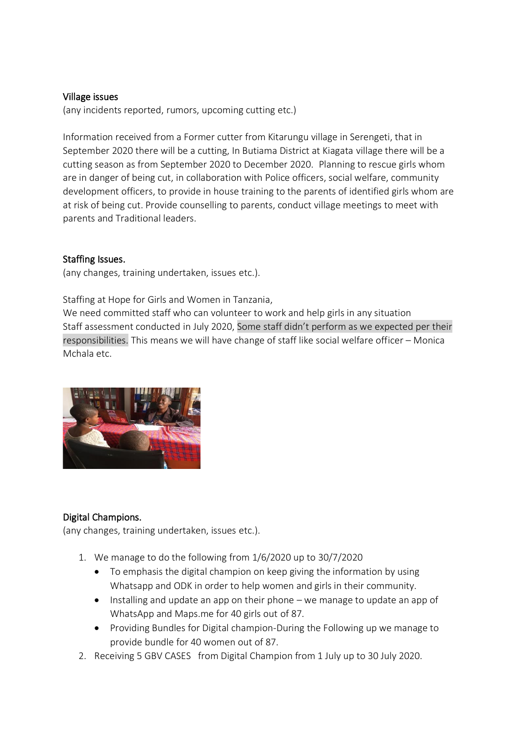#### Village issues

(any incidents reported, rumors, upcoming cutting etc.)

Information received from a Former cutter from Kitarungu village in Serengeti, that in September 2020 there will be a cutting, In Butiama District at Kiagata village there will be a cutting season as from September 2020 to December 2020. Planning to rescue girls whom are in danger of being cut, in collaboration with Police officers, social welfare, community development officers, to provide in house training to the parents of identified girls whom are at risk of being cut. Provide counselling to parents, conduct village meetings to meet with parents and Traditional leaders.

## Staffing Issues.

(any changes, training undertaken, issues etc.).

Staffing at Hope for Girls and Women in Tanzania,

We need committed staff who can volunteer to work and help girls in any situation Staff assessment conducted in July 2020, Some staff didn't perform as we expected per their responsibilities. This means we will have change of staff like social welfare officer – Monica Mchala etc.



## Digital Champions.

(any changes, training undertaken, issues etc.).

- 1. We manage to do the following from 1/6/2020 up to 30/7/2020
	- To emphasis the digital champion on keep giving the information by using Whatsapp and ODK in order to help women and girls in their community.
	- Installing and update an app on their phone we manage to update an app of WhatsApp and Maps.me for 40 girls out of 87.
	- Providing Bundles for Digital champion-During the Following up we manage to provide bundle for 40 women out of 87.
- 2. Receiving 5 GBV CASES from Digital Champion from 1 July up to 30 July 2020.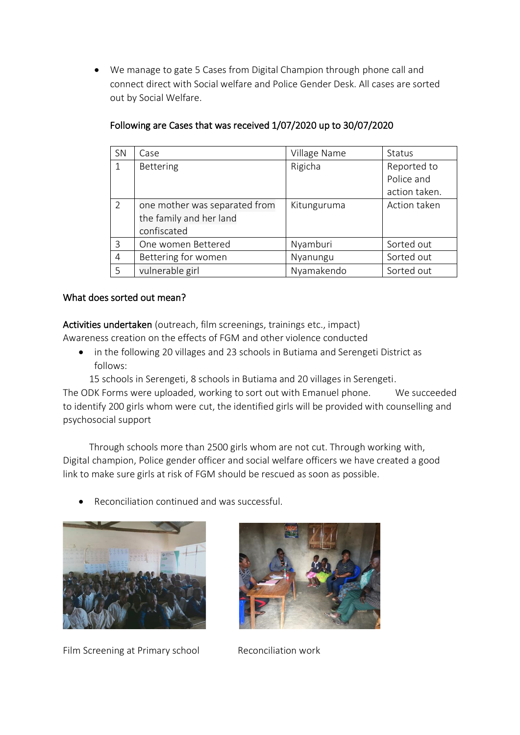• We manage to gate 5 Cases from Digital Champion through phone call and connect direct with Social welfare and Police Gender Desk. All cases are sorted out by Social Welfare.

| SN | Case                          | Village Name | <b>Status</b> |
|----|-------------------------------|--------------|---------------|
| 1  | Bettering                     | Rigicha      | Reported to   |
|    |                               |              | Police and    |
|    |                               |              | action taken. |
| 2  | one mother was separated from | Kitunguruma  | Action taken  |
|    | the family and her land       |              |               |
|    | confiscated                   |              |               |
| 3  | One women Bettered            | Nyamburi     | Sorted out    |
| 4  | Bettering for women           | Nyanungu     | Sorted out    |
| .5 | vulnerable girl               | Nyamakendo   | Sorted out    |

## Following are Cases that was received 1/07/2020 up to 30/07/2020

## What does sorted out mean?

Activities undertaken (outreach, film screenings, trainings etc., impact) Awareness creation on the effects of FGM and other violence conducted

- - in the following 20 villages and 23 schools in Butiama and Serengeti District as follows:
		- 15 schools in Serengeti, 8 schools in Butiama and 20 villages in Serengeti.

The ODK Forms were uploaded, working to sort out with Emanuel phone. We succeeded to identify 200 girls whom were cut, the identified girls will be provided with counselling and psychosocial support

 Through schools more than 2500 girls whom are not cut. Through working with, Digital champion, Police gender officer and social welfare officers we have created a good link to make sure girls at risk of FGM should be rescued as soon as possible.

• Reconciliation continued and was successful.



Film Screening at Primary school Reconciliation work

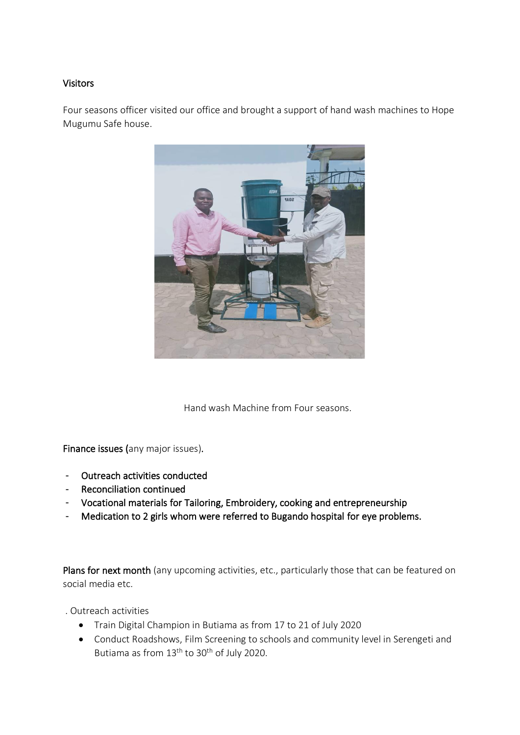## Visitors

Four seasons officer visited our office and brought a support of hand wash machines to Hope Mugumu Safe house.



Hand wash Machine from Four seasons.

Finance issues (any major issues).

- Outreach activities conducted
- Reconciliation continued
- Vocational materials for Tailoring, Embroidery, cooking and entrepreneurship
- Medication to 2 girls whom were referred to Bugando hospital for eye problems.

Plans for next month (any upcoming activities, etc., particularly those that can be featured on social media etc.

. Outreach activities

- Train Digital Champion in Butiama as from 17 to 21 of July 2020
- Conduct Roadshows, Film Screening to schools and community level in Serengeti and Butiama as from 13<sup>th</sup> to 30<sup>th</sup> of July 2020.